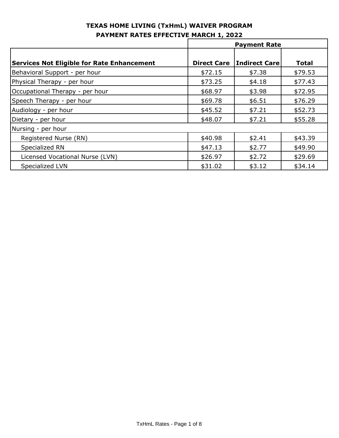|                                                   | <b>Payment Rate</b> |                      |              |
|---------------------------------------------------|---------------------|----------------------|--------------|
|                                                   |                     |                      |              |
| <b>Services Not Eligible for Rate Enhancement</b> | <b>Direct Care</b>  | <b>Indirect Care</b> | <b>Total</b> |
| Behavioral Support - per hour                     | \$72.15             | \$7.38               | \$79.53      |
| Physical Therapy - per hour                       | \$73.25             | \$4.18               | \$77.43      |
| Occupational Therapy - per hour                   | \$68.97             | \$3.98               | \$72.95      |
| Speech Therapy - per hour                         | \$69.78             | \$6.51               | \$76.29      |
| Audiology - per hour                              | \$45.52             | \$7.21               | \$52.73      |
| Dietary - per hour                                | \$48.07             | \$7.21               | \$55.28      |
| Nursing - per hour                                |                     |                      |              |
| Registered Nurse (RN)                             | \$40.98             | \$2.41               | \$43.39      |
| Specialized RN                                    | \$47.13             | \$2.77               | \$49.90      |
| Licensed Vocational Nurse (LVN)                   | \$26.97             | \$2.72               | \$29.69      |
| Specialized LVN                                   | \$31.02             | \$3.12               | \$34.14      |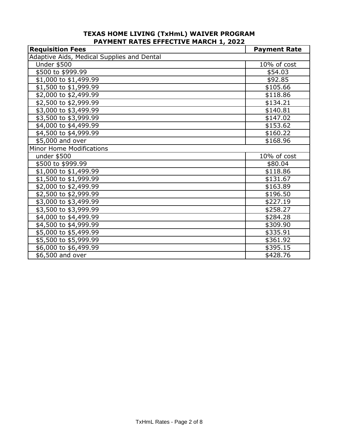| <b>Requisition Fees</b>                    | <b>Payment Rate</b> |
|--------------------------------------------|---------------------|
| Adaptive Aids, Medical Supplies and Dental |                     |
| <b>Under \$500</b>                         | 10% of cost         |
| \$500 to \$999.99                          | \$54.03             |
| \$1,000 to \$1,499.99                      | \$92.85             |
| \$1,500 to \$1,999.99                      | \$105.66            |
| \$2,000 to \$2,499.99                      | \$118.86            |
| \$2,500 to \$2,999.99                      | \$134.21            |
| \$3,000 to \$3,499.99                      | \$140.81            |
| \$3,500 to \$3,999.99                      | \$147.02            |
| \$4,000 to \$4,499.99                      | \$153.62            |
| \$4,500 to \$4,999.99                      | \$160.22            |
| \$5,000 and over                           | \$168.96            |
| Minor Home Modifications                   |                     |
| under \$500                                | 10% of cost         |
| \$500 to \$999.99                          | \$80.04             |
| \$1,000 to \$1,499.99                      | \$118.86            |
| \$1,500 to \$1,999.99                      | \$131.67            |
| \$2,000 to \$2,499.99                      | \$163.89            |
| \$2,500 to \$2,999.99                      | \$196.50            |
| \$3,000 to \$3,499.99                      | \$227.19            |
| \$3,500 to \$3,999.99                      | \$258.27            |
| \$4,000 to \$4,499.99                      | \$284.28            |
| \$4,500 to \$4,999.99                      | \$309.90            |
| \$5,000 to \$5,499.99                      | \$335.91            |
| $\overline{$5,500}$ to \$5,999.99          | \$361.92            |
| \$6,000 to \$6,499.99                      | \$395.15            |
| \$6,500 and over                           | \$428.76            |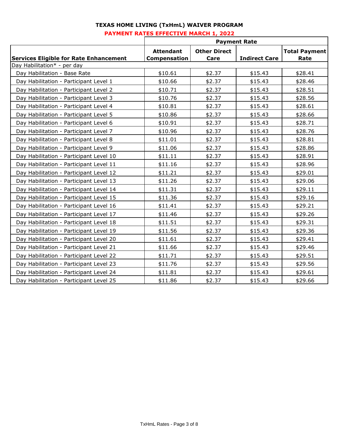|                                               | <b>Payment Rate</b>              |                             |                      |                              |
|-----------------------------------------------|----------------------------------|-----------------------------|----------------------|------------------------------|
| <b>Services Eligible for Rate Enhancement</b> | <b>Attendant</b><br>Compensation | <b>Other Direct</b><br>Care | <b>Indirect Care</b> | <b>Total Payment</b><br>Rate |
| Day Habilitation* - per day                   |                                  |                             |                      |                              |
| Day Habilitation - Base Rate                  | \$10.61                          | \$2.37                      | \$15.43              | \$28.41                      |
| Day Habilitation - Participant Level 1        | \$10.66                          | \$2.37                      | \$15.43              | \$28.46                      |
| Day Habilitation - Participant Level 2        | \$10.71                          | \$2.37                      | \$15.43              | \$28.51                      |
| Day Habilitation - Participant Level 3        | \$10.76                          | \$2.37                      | \$15.43              | \$28.56                      |
| Day Habilitation - Participant Level 4        | \$10.81                          | \$2.37                      | \$15.43              | \$28.61                      |
| Day Habilitation - Participant Level 5        | \$10.86                          | \$2.37                      | \$15.43              | \$28.66                      |
| Day Habilitation - Participant Level 6        | \$10.91                          | \$2.37                      | \$15.43              | \$28.71                      |
| Day Habilitation - Participant Level 7        | \$10.96                          | \$2.37                      | \$15.43              | \$28.76                      |
| Day Habilitation - Participant Level 8        | \$11.01                          | \$2.37                      | \$15.43              | \$28.81                      |
| Day Habilitation - Participant Level 9        | \$11.06                          | \$2.37                      | \$15.43              | \$28.86                      |
| Day Habilitation - Participant Level 10       | \$11.11                          | \$2.37                      | \$15.43              | \$28.91                      |
| Day Habilitation - Participant Level 11       | \$11.16                          | \$2.37                      | \$15.43              | \$28.96                      |
| Day Habilitation - Participant Level 12       | \$11.21                          | \$2.37                      | \$15.43              | \$29.01                      |
| Day Habilitation - Participant Level 13       | \$11.26                          | \$2.37                      | \$15.43              | \$29.06                      |
| Day Habilitation - Participant Level 14       | \$11.31                          | \$2.37                      | \$15.43              | \$29.11                      |
| Day Habilitation - Participant Level 15       | \$11.36                          | \$2.37                      | \$15.43              | \$29.16                      |
| Day Habilitation - Participant Level 16       | \$11.41                          | \$2.37                      | \$15.43              | \$29.21                      |
| Day Habilitation - Participant Level 17       | \$11.46                          | \$2.37                      | \$15.43              | \$29.26                      |
| Day Habilitation - Participant Level 18       | \$11.51                          | \$2.37                      | \$15.43              | \$29.31                      |
| Day Habilitation - Participant Level 19       | \$11.56                          | \$2.37                      | \$15.43              | \$29.36                      |
| Day Habilitation - Participant Level 20       | \$11.61                          | \$2.37                      | \$15.43              | \$29.41                      |
| Day Habilitation - Participant Level 21       | \$11.66                          | \$2.37                      | \$15.43              | \$29.46                      |
| Day Habilitation - Participant Level 22       | \$11.71                          | \$2.37                      | \$15.43              | \$29.51                      |
| Day Habilitation - Participant Level 23       | \$11.76                          | \$2.37                      | \$15.43              | \$29.56                      |
| Day Habilitation - Participant Level 24       | \$11.81                          | \$2.37                      | \$15.43              | \$29.61                      |
| Day Habilitation - Participant Level 25       | \$11.86                          | \$2.37                      | \$15.43              | \$29.66                      |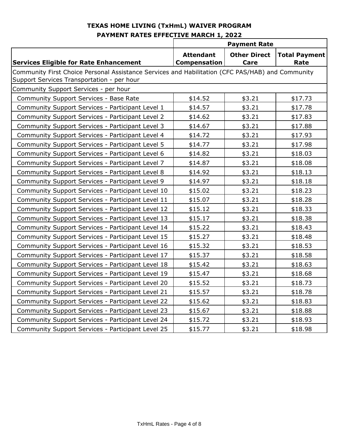|                                                                                                                                                | <b>Payment Rate</b>                     |                             |                              |
|------------------------------------------------------------------------------------------------------------------------------------------------|-----------------------------------------|-----------------------------|------------------------------|
| <b>Services Eligible for Rate Enhancement</b>                                                                                                  | <b>Attendant</b><br><b>Compensation</b> | <b>Other Direct</b><br>Care | <b>Total Payment</b><br>Rate |
| Community First Choice Personal Assistance Services and Habilitation (CFC PAS/HAB) and Community<br>Support Services Transportation - per hour |                                         |                             |                              |
| Community Support Services - per hour                                                                                                          |                                         |                             |                              |
| Community Support Services - Base Rate                                                                                                         | \$14.52                                 | \$3.21                      | \$17.73                      |
| Community Support Services - Participant Level 1                                                                                               | \$14.57                                 | \$3.21                      | \$17.78                      |
| Community Support Services - Participant Level 2                                                                                               | \$14.62                                 | \$3.21                      | \$17.83                      |
| Community Support Services - Participant Level 3                                                                                               | \$14.67                                 | \$3.21                      | \$17.88                      |
| Community Support Services - Participant Level 4                                                                                               | \$14.72                                 | \$3.21                      | \$17.93                      |
| Community Support Services - Participant Level 5                                                                                               | \$14.77                                 | \$3.21                      | \$17.98                      |
| Community Support Services - Participant Level 6                                                                                               | \$14.82                                 | \$3.21                      | \$18.03                      |
| Community Support Services - Participant Level 7                                                                                               | \$14.87                                 | \$3.21                      | \$18.08                      |
| Community Support Services - Participant Level 8                                                                                               | \$14.92                                 | \$3.21                      | \$18.13                      |
| Community Support Services - Participant Level 9                                                                                               | \$14.97                                 | \$3.21                      | \$18.18                      |
| Community Support Services - Participant Level 10                                                                                              | \$15.02                                 | \$3.21                      | \$18.23                      |
| Community Support Services - Participant Level 11                                                                                              | \$15.07                                 | \$3.21                      | \$18.28                      |
| Community Support Services - Participant Level 12                                                                                              | \$15.12                                 | \$3.21                      | \$18.33                      |
| Community Support Services - Participant Level 13                                                                                              | \$15.17                                 | \$3.21                      | \$18.38                      |
| Community Support Services - Participant Level 14                                                                                              | \$15.22                                 | \$3.21                      | \$18.43                      |
| Community Support Services - Participant Level 15                                                                                              | \$15.27                                 | \$3.21                      | \$18.48                      |
| Community Support Services - Participant Level 16                                                                                              | \$15.32                                 | \$3.21                      | \$18.53                      |
| Community Support Services - Participant Level 17                                                                                              | \$15.37                                 | \$3.21                      | \$18.58                      |
| Community Support Services - Participant Level 18                                                                                              | \$15.42                                 | \$3.21                      | \$18.63                      |
| Community Support Services - Participant Level 19                                                                                              | \$15.47                                 | \$3.21                      | \$18.68                      |
| Community Support Services - Participant Level 20                                                                                              | \$15.52                                 | \$3.21                      | \$18.73                      |
| Community Support Services - Participant Level 21                                                                                              | \$15.57                                 | \$3.21                      | \$18.78                      |
| Community Support Services - Participant Level 22                                                                                              | \$15.62                                 | \$3.21                      | \$18.83                      |
| Community Support Services - Participant Level 23                                                                                              | \$15.67                                 | \$3.21                      | \$18.88                      |
| Community Support Services - Participant Level 24                                                                                              | \$15.72                                 | \$3.21                      | \$18.93                      |
| Community Support Services - Participant Level 25                                                                                              | \$15.77                                 | \$3.21                      | \$18.98                      |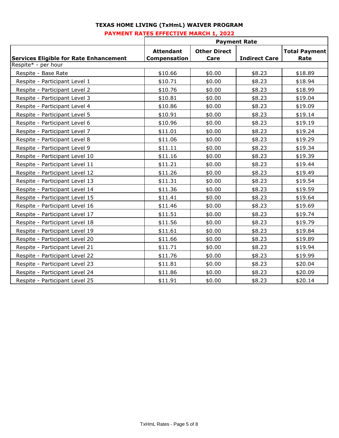# **TEXAS HOME LIVING (TxHmL) WAIVER PROGRAM**

#### **PAYMENT RATES EFFECTIVE MARCH 1, 2022**

|                                               | <b>Payment Rate</b> |                     |                      |                      |
|-----------------------------------------------|---------------------|---------------------|----------------------|----------------------|
|                                               | <b>Attendant</b>    | <b>Other Direct</b> |                      | <b>Total Payment</b> |
| <b>Services Eligible for Rate Enhancement</b> | Compensation        | Care                | <b>Indirect Care</b> | Rate                 |
| Respite* - per hour                           |                     |                     |                      |                      |
| Respite - Base Rate                           | \$10.66             | \$0.00              | \$8.23               | \$18.89              |
| Respite - Participant Level 1                 | \$10.71             | \$0.00              | \$8.23               | \$18.94              |
| Respite - Participant Level 2                 | \$10.76             | \$0.00              | \$8.23               | \$18.99              |
| Respite - Participant Level 3                 | \$10.81             | \$0.00              | \$8.23               | \$19.04              |
| Respite - Participant Level 4                 | \$10.86             | \$0.00              | \$8.23               | \$19.09              |
| Respite - Participant Level 5                 | \$10.91             | \$0.00              | \$8.23               | \$19.14              |
| Respite - Participant Level 6                 | \$10.96             | \$0.00              | \$8.23               | \$19.19              |
| Respite - Participant Level 7                 | \$11.01             | \$0.00              | \$8.23               | \$19.24              |
| Respite - Participant Level 8                 | \$11.06             | \$0.00              | \$8.23               | \$19.29              |
| Respite - Participant Level 9                 | \$11.11             | \$0.00              | \$8.23               | \$19.34              |
| Respite - Participant Level 10                | \$11.16             | \$0.00              | \$8.23               | \$19.39              |
| Respite - Participant Level 11                | \$11.21             | \$0.00              | \$8.23               | \$19.44              |
| Respite - Participant Level 12                | \$11.26             | \$0.00              | \$8.23               | \$19.49              |
| Respite - Participant Level 13                | \$11.31             | \$0.00              | \$8.23               | \$19.54              |
| Respite - Participant Level 14                | \$11.36             | \$0.00              | \$8.23               | \$19.59              |
| Respite - Participant Level 15                | \$11.41             | \$0.00              | \$8.23               | \$19.64              |
| Respite - Participant Level 16                | \$11.46             | \$0.00              | \$8.23               | \$19.69              |
| Respite - Participant Level 17                | \$11.51             | \$0.00              | \$8.23               | \$19.74              |
| Respite - Participant Level 18                | \$11.56             | \$0.00              | \$8.23               | \$19.79              |
| Respite - Participant Level 19                | \$11.61             | \$0.00              | \$8.23               | \$19.84              |
| Respite - Participant Level 20                | \$11.66             | \$0.00              | \$8.23               | \$19.89              |
| Respite - Participant Level 21                | \$11.71             | \$0.00              | \$8.23               | \$19.94              |
| Respite - Participant Level 22                | \$11.76             | \$0.00              | \$8.23               | \$19.99              |
| Respite - Participant Level 23                | \$11.81             | \$0.00              | \$8.23               | \$20.04              |
| Respite - Participant Level 24                | \$11.86             | \$0.00              | \$8.23               | \$20.09              |
| Respite - Participant Level 25                | \$11.91             | \$0.00              | \$8.23               | \$20.14              |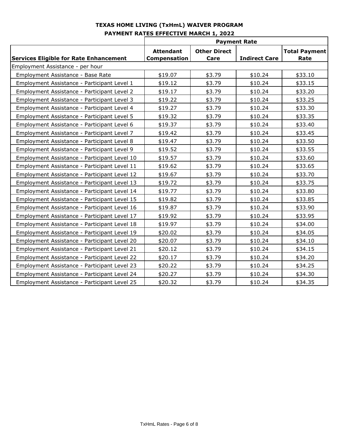|                                               | <b>Payment Rate</b> |                     |                      |                      |
|-----------------------------------------------|---------------------|---------------------|----------------------|----------------------|
|                                               | <b>Attendant</b>    | <b>Other Direct</b> |                      | <b>Total Payment</b> |
| <b>Services Eligible for Rate Enhancement</b> | Compensation        | Care                | <b>Indirect Care</b> | Rate                 |
| Employment Assistance - per hour              |                     |                     |                      |                      |
| Employment Assistance - Base Rate             | \$19.07             | \$3.79              | \$10.24              | \$33.10              |
| Employment Assistance - Participant Level 1   | \$19.12             | \$3.79              | \$10.24              | \$33.15              |
| Employment Assistance - Participant Level 2   | \$19.17             | \$3.79              | \$10.24              | \$33.20              |
| Employment Assistance - Participant Level 3   | \$19.22             | \$3.79              | \$10.24              | \$33.25              |
| Employment Assistance - Participant Level 4   | \$19.27             | \$3.79              | \$10.24              | \$33.30              |
| Employment Assistance - Participant Level 5   | \$19.32             | \$3.79              | \$10.24              | \$33.35              |
| Employment Assistance - Participant Level 6   | \$19.37             | \$3.79              | \$10.24              | \$33.40              |
| Employment Assistance - Participant Level 7   | \$19.42             | \$3.79              | \$10.24              | \$33.45              |
| Employment Assistance - Participant Level 8   | \$19.47             | \$3.79              | \$10.24              | \$33.50              |
| Employment Assistance - Participant Level 9   | \$19.52             | \$3.79              | \$10.24              | \$33.55              |
| Employment Assistance - Participant Level 10  | \$19.57             | \$3.79              | \$10.24              | \$33.60              |
| Employment Assistance - Participant Level 11  | \$19.62             | \$3.79              | \$10.24              | \$33.65              |
| Employment Assistance - Participant Level 12  | \$19.67             | \$3.79              | \$10.24              | \$33.70              |
| Employment Assistance - Participant Level 13  | \$19.72             | \$3.79              | \$10.24              | \$33.75              |
| Employment Assistance - Participant Level 14  | \$19.77             | \$3.79              | \$10.24              | \$33.80              |
| Employment Assistance - Participant Level 15  | \$19.82             | \$3.79              | \$10.24              | \$33.85              |
| Employment Assistance - Participant Level 16  | \$19.87             | \$3.79              | \$10.24              | \$33.90              |
| Employment Assistance - Participant Level 17  | \$19.92             | \$3.79              | \$10.24              | \$33.95              |
| Employment Assistance - Participant Level 18  | \$19.97             | \$3.79              | \$10.24              | \$34.00              |
| Employment Assistance - Participant Level 19  | \$20.02             | \$3.79              | \$10.24              | \$34.05              |
| Employment Assistance - Participant Level 20  | \$20.07             | \$3.79              | \$10.24              | \$34.10              |
| Employment Assistance - Participant Level 21  | \$20.12             | \$3.79              | \$10.24              | \$34.15              |
| Employment Assistance - Participant Level 22  | \$20.17             | \$3.79              | \$10.24              | \$34.20              |
| Employment Assistance - Participant Level 23  | \$20.22             | \$3.79              | \$10.24              | \$34.25              |
| Employment Assistance - Participant Level 24  | \$20.27             | \$3.79              | \$10.24              | \$34.30              |
| Employment Assistance - Participant Level 25  | \$20.32             | \$3.79              | \$10.24              | \$34.35              |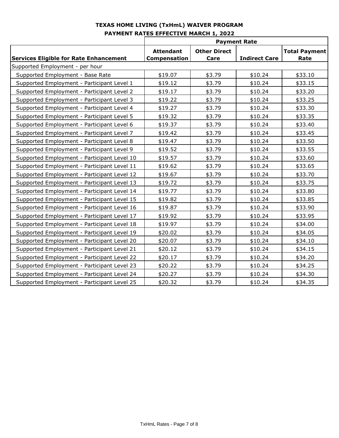|                                               | <b>Payment Rate</b> |                     |                      |                      |
|-----------------------------------------------|---------------------|---------------------|----------------------|----------------------|
|                                               | <b>Attendant</b>    | <b>Other Direct</b> |                      | <b>Total Payment</b> |
| <b>Services Eligible for Rate Enhancement</b> | <b>Compensation</b> | Care                | <b>Indirect Care</b> | Rate                 |
| Supported Employment - per hour               |                     |                     |                      |                      |
| Supported Employment - Base Rate              | \$19.07             | \$3.79              | \$10.24              | \$33.10              |
| Supported Employment - Participant Level 1    | \$19.12             | \$3.79              | \$10.24              | \$33.15              |
| Supported Employment - Participant Level 2    | \$19.17             | \$3.79              | \$10.24              | \$33.20              |
| Supported Employment - Participant Level 3    | \$19.22             | \$3.79              | \$10.24              | \$33.25              |
| Supported Employment - Participant Level 4    | \$19.27             | \$3.79              | \$10.24              | \$33.30              |
| Supported Employment - Participant Level 5    | \$19.32             | \$3.79              | \$10.24              | \$33.35              |
| Supported Employment - Participant Level 6    | \$19.37             | \$3.79              | \$10.24              | \$33.40              |
| Supported Employment - Participant Level 7    | \$19.42             | \$3.79              | \$10.24              | \$33.45              |
| Supported Employment - Participant Level 8    | \$19.47             | \$3.79              | \$10.24              | \$33.50              |
| Supported Employment - Participant Level 9    | \$19.52             | \$3.79              | \$10.24              | \$33.55              |
| Supported Employment - Participant Level 10   | \$19.57             | \$3.79              | \$10.24              | \$33.60              |
| Supported Employment - Participant Level 11   | \$19.62             | \$3.79              | \$10.24              | \$33.65              |
| Supported Employment - Participant Level 12   | \$19.67             | \$3.79              | \$10.24              | \$33.70              |
| Supported Employment - Participant Level 13   | \$19.72             | \$3.79              | \$10.24              | \$33.75              |
| Supported Employment - Participant Level 14   | \$19.77             | \$3.79              | \$10.24              | \$33.80              |
| Supported Employment - Participant Level 15   | \$19.82             | \$3.79              | \$10.24              | \$33.85              |
| Supported Employment - Participant Level 16   | \$19.87             | \$3.79              | \$10.24              | \$33.90              |
| Supported Employment - Participant Level 17   | \$19.92             | \$3.79              | \$10.24              | \$33.95              |
| Supported Employment - Participant Level 18   | \$19.97             | \$3.79              | \$10.24              | \$34.00              |
| Supported Employment - Participant Level 19   | \$20.02             | \$3.79              | \$10.24              | \$34.05              |
| Supported Employment - Participant Level 20   | \$20.07             | \$3.79              | \$10.24              | \$34.10              |
| Supported Employment - Participant Level 21   | \$20.12             | \$3.79              | \$10.24              | \$34.15              |
| Supported Employment - Participant Level 22   | \$20.17             | \$3.79              | \$10.24              | \$34.20              |
| Supported Employment - Participant Level 23   | \$20.22             | \$3.79              | \$10.24              | \$34.25              |
| Supported Employment - Participant Level 24   | \$20.27             | \$3.79              | \$10.24              | \$34.30              |
| Supported Employment - Participant Level 25   | \$20.32             | \$3.79              | \$10.24              | \$34.35              |